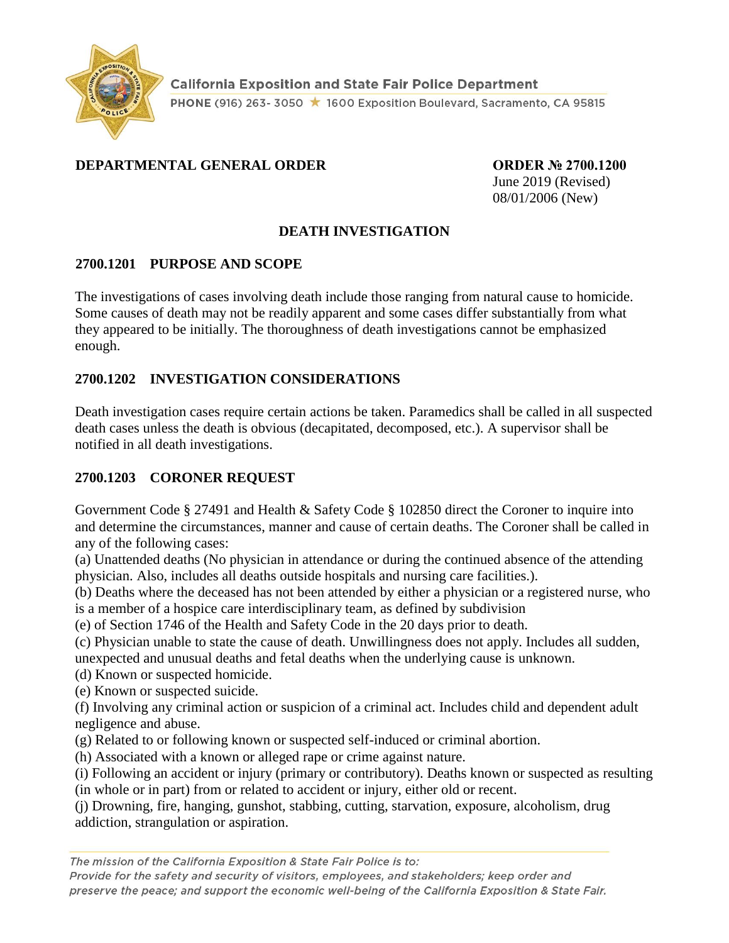

## **DEPARTMENTAL GENERAL ORDER ORDER № 2700.1200**

June 2019 (Revised) 08/01/2006 (New)

## **DEATH INVESTIGATION**

#### **2700.1201 PURPOSE AND SCOPE**

The investigations of cases involving death include those ranging from natural cause to homicide. Some causes of death may not be readily apparent and some cases differ substantially from what they appeared to be initially. The thoroughness of death investigations cannot be emphasized enough.

## **2700.1202 INVESTIGATION CONSIDERATIONS**

Death investigation cases require certain actions be taken. Paramedics shall be called in all suspected death cases unless the death is obvious (decapitated, decomposed, etc.). A supervisor shall be notified in all death investigations.

#### **2700.1203 CORONER REQUEST**

Government Code § 27491 and Health & Safety Code § 102850 direct the Coroner to inquire into and determine the circumstances, manner and cause of certain deaths. The Coroner shall be called in any of the following cases:

(a) Unattended deaths (No physician in attendance or during the continued absence of the attending physician. Also, includes all deaths outside hospitals and nursing care facilities.).

(b) Deaths where the deceased has not been attended by either a physician or a registered nurse, who is a member of a hospice care interdisciplinary team, as defined by subdivision

(e) of Section 1746 of the Health and Safety Code in the 20 days prior to death.

(c) Physician unable to state the cause of death. Unwillingness does not apply. Includes all sudden, unexpected and unusual deaths and fetal deaths when the underlying cause is unknown.

(d) Known or suspected homicide.

(e) Known or suspected suicide.

(f) Involving any criminal action or suspicion of a criminal act. Includes child and dependent adult negligence and abuse.

(g) Related to or following known or suspected self-induced or criminal abortion.

(h) Associated with a known or alleged rape or crime against nature.

(i) Following an accident or injury (primary or contributory). Deaths known or suspected as resulting

(in whole or in part) from or related to accident or injury, either old or recent.

(j) Drowning, fire, hanging, gunshot, stabbing, cutting, starvation, exposure, alcoholism, drug addiction, strangulation or aspiration.

The mission of the California Exposition & State Fair Police is to:

Provide for the safety and security of visitors, employees, and stakeholders; keep order and preserve the peace; and support the economic well-being of the California Exposition & State Fair.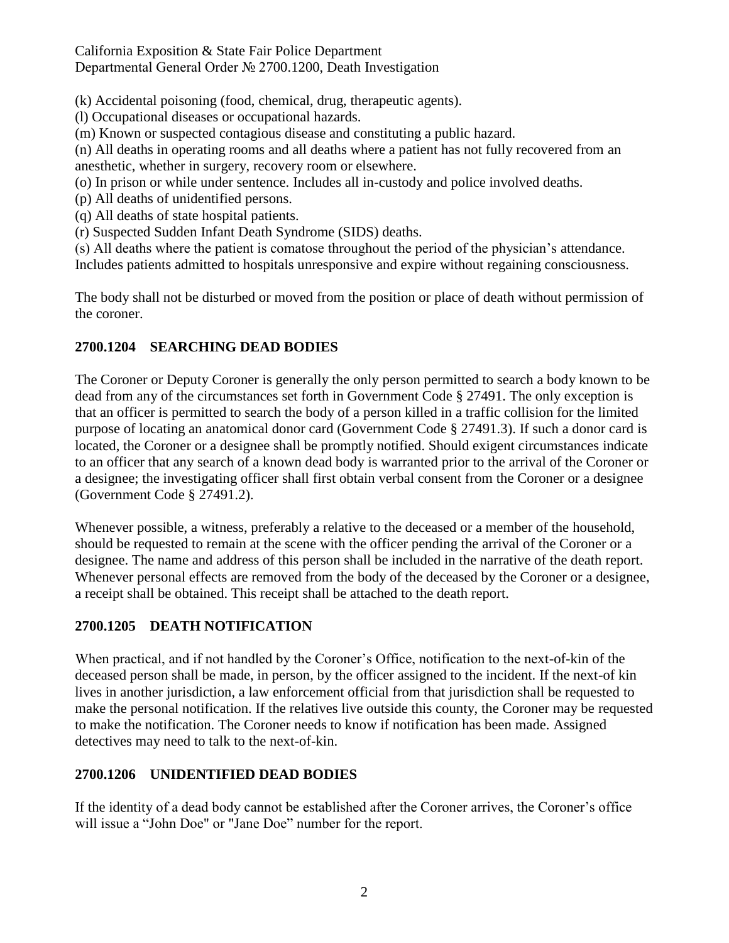California Exposition & State Fair Police Department Departmental General Order № 2700.1200, Death Investigation

(k) Accidental poisoning (food, chemical, drug, therapeutic agents).

(l) Occupational diseases or occupational hazards.

(m) Known or suspected contagious disease and constituting a public hazard.

(n) All deaths in operating rooms and all deaths where a patient has not fully recovered from an anesthetic, whether in surgery, recovery room or elsewhere.

(o) In prison or while under sentence. Includes all in-custody and police involved deaths.

(p) All deaths of unidentified persons.

(q) All deaths of state hospital patients.

(r) Suspected Sudden Infant Death Syndrome (SIDS) deaths.

(s) All deaths where the patient is comatose throughout the period of the physician's attendance.

Includes patients admitted to hospitals unresponsive and expire without regaining consciousness.

The body shall not be disturbed or moved from the position or place of death without permission of the coroner.

# **2700.1204 SEARCHING DEAD BODIES**

The Coroner or Deputy Coroner is generally the only person permitted to search a body known to be dead from any of the circumstances set forth in Government Code § 27491. The only exception is that an officer is permitted to search the body of a person killed in a traffic collision for the limited purpose of locating an anatomical donor card (Government Code § 27491.3). If such a donor card is located, the Coroner or a designee shall be promptly notified. Should exigent circumstances indicate to an officer that any search of a known dead body is warranted prior to the arrival of the Coroner or a designee; the investigating officer shall first obtain verbal consent from the Coroner or a designee (Government Code § 27491.2).

Whenever possible, a witness, preferably a relative to the deceased or a member of the household, should be requested to remain at the scene with the officer pending the arrival of the Coroner or a designee. The name and address of this person shall be included in the narrative of the death report. Whenever personal effects are removed from the body of the deceased by the Coroner or a designee, a receipt shall be obtained. This receipt shall be attached to the death report.

## **2700.1205 DEATH NOTIFICATION**

When practical, and if not handled by the Coroner's Office, notification to the next-of-kin of the deceased person shall be made, in person, by the officer assigned to the incident. If the next-of kin lives in another jurisdiction, a law enforcement official from that jurisdiction shall be requested to make the personal notification. If the relatives live outside this county, the Coroner may be requested to make the notification. The Coroner needs to know if notification has been made. Assigned detectives may need to talk to the next-of-kin.

## **2700.1206 UNIDENTIFIED DEAD BODIES**

If the identity of a dead body cannot be established after the Coroner arrives, the Coroner's office will issue a "John Doe" or "Jane Doe" number for the report.